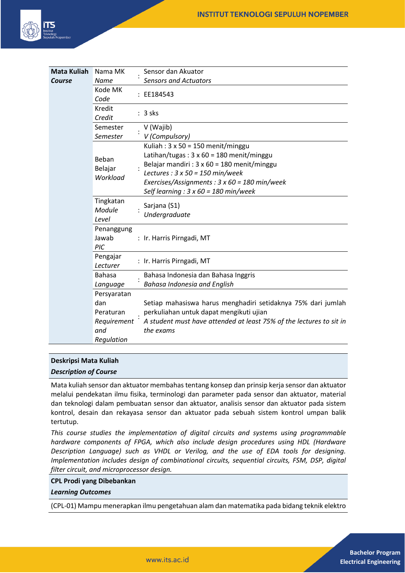

| <b>Mata Kuliah</b> | Nama MK                      | Sensor dan Akuator                                                  |
|--------------------|------------------------------|---------------------------------------------------------------------|
| Course             | Name                         | <b>Sensors and Actuators</b>                                        |
|                    | Kode MK<br>Code              | : EE184543                                                          |
|                    | Kredit<br>Credit             | $: 3$ sks                                                           |
|                    | Semester                     | V (Wajib)                                                           |
|                    | Semester                     | V (Compulsory)                                                      |
|                    | Beban<br>Belajar<br>Workload | Kuliah: $3 \times 50 = 150$ menit/minggu                            |
|                    |                              | Latihan/tugas: $3 \times 60 = 180$ menit/minggu                     |
|                    |                              | Belajar mandiri : 3 x 60 = 180 menit/minggu                         |
|                    |                              | Lectures : $3 \times 50 = 150$ min/week                             |
|                    |                              | Exercises/Assignments : $3 \times 60 = 180$ min/week                |
|                    |                              | Self learning : $3 \times 60 = 180$ min/week                        |
|                    | Tingkatan<br>Module<br>Level | Sarjana (S1)<br>Undergraduate                                       |
|                    | Penanggung<br>Jawab<br>PIC   | : Ir. Harris Pirngadi, MT                                           |
|                    | Pengajar<br>Lecturer         | : Ir. Harris Pirngadi, MT                                           |
|                    | <b>Bahasa</b>                | Bahasa Indonesia dan Bahasa Inggris                                 |
|                    | Language                     | Bahasa Indonesia and English                                        |
|                    | Persyaratan                  |                                                                     |
|                    | dan                          | Setiap mahasiswa harus menghadiri setidaknya 75% dari jumlah        |
|                    | Peraturan                    | perkuliahan untuk dapat mengikuti ujian                             |
|                    | Requirement                  | A student must have attended at least 75% of the lectures to sit in |
|                    | and                          | the exams                                                           |
|                    | Regulation                   |                                                                     |

#### **Deskripsi Mata Kuliah**

*Description of Course*

Mata kuliah sensor dan aktuator membahas tentang konsep dan prinsip kerja sensor dan aktuator melalui pendekatan ilmu fisika, terminologi dan parameter pada sensor dan aktuator, material dan teknologi dalam pembuatan sensor dan aktuator, analisis sensor dan aktuator pada sistem kontrol, desain dan rekayasa sensor dan aktuator pada sebuah sistem kontrol umpan balik tertutup.

*This course studies the implementation of digital circuits and systems using programmable hardware components of FPGA, which also include design procedures using HDL (Hardware Description Language) such as VHDL or Verilog, and the use of EDA tools for designing. Implementation includes design of combinational circuits, sequential circuits, FSM, DSP, digital filter circuit, and microprocessor design.*

#### **CPL Prodi yang Dibebankan**

*Learning Outcomes*

(CPL-01) Mampu menerapkan ilmu pengetahuan alam dan matematika pada bidang teknik elektro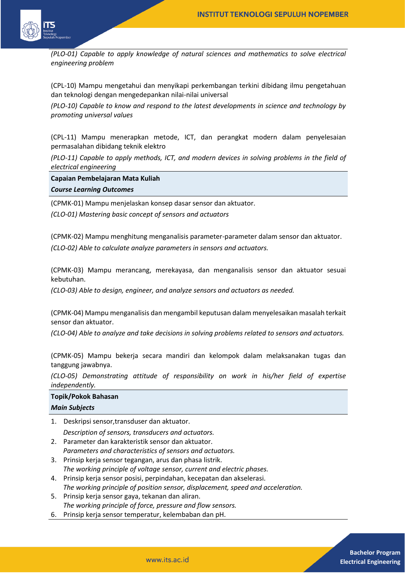

*(PLO-01) Capable to apply knowledge of natural sciences and mathematics to solve electrical engineering problem*

(CPL-10) Mampu mengetahui dan menyikapi perkembangan terkini dibidang ilmu pengetahuan dan teknologi dengan mengedepankan nilai-nilai universal

*(PLO-10) Capable to know and respond to the latest developments in science and technology by promoting universal values*

(CPL-11) Mampu menerapkan metode, ICT, dan perangkat modern dalam penyelesaian permasalahan dibidang teknik elektro

*(PLO-11) Capable to apply methods, ICT, and modern devices in solving problems in the field of electrical engineering*

**Capaian Pembelajaran Mata Kuliah**

*Course Learning Outcomes*

(CPMK-01) Mampu menjelaskan konsep dasar sensor dan aktuator.

*(CLO-01) Mastering basic concept of sensors and actuators*

(CPMK-02) Mampu menghitung menganalisis parameter-parameter dalam sensor dan aktuator. *(CLO-02) Able to calculate analyze parameters in sensors and actuators.*

(CPMK-03) Mampu merancang, merekayasa, dan menganalisis sensor dan aktuator sesuai kebutuhan.

*(CLO-03) Able to design, engineer, and analyze sensors and actuators as needed.*

(CPMK-04) Mampu menganalisis dan mengambil keputusan dalam menyelesaikan masalah terkait sensor dan aktuator.

*(CLO-04) Able to analyze and take decisions in solving problems related to sensors and actuators.*

(CPMK-05) Mampu bekerja secara mandiri dan kelompok dalam melaksanakan tugas dan tanggung jawabnya.

*(CLO-05) Demonstrating attitude of responsibility on work in his/her field of expertise independently.*

# **Topik/Pokok Bahasan**

|  | <b>Main Subjects</b> |  |
|--|----------------------|--|
|--|----------------------|--|

1. Deskripsi sensor,transduser dan aktuator.

*Description of sensors, transducers and actuators.*

- 2. Parameter dan karakteristik sensor dan aktuator. *Parameters and characteristics of sensors and actuators.*
- 3. Prinsip kerja sensor tegangan, arus dan phasa listrik. *The working principle of voltage sensor, current and electric phases.*
- 4. Prinsip kerja sensor posisi, perpindahan, kecepatan dan akselerasi. *The working principle of position sensor, displacement, speed and acceleration.*
- 5. Prinsip kerja sensor gaya, tekanan dan aliran. *The working principle of force, pressure and flow sensors.*
- 6. Prinsip kerja sensor temperatur, kelembaban dan pH.